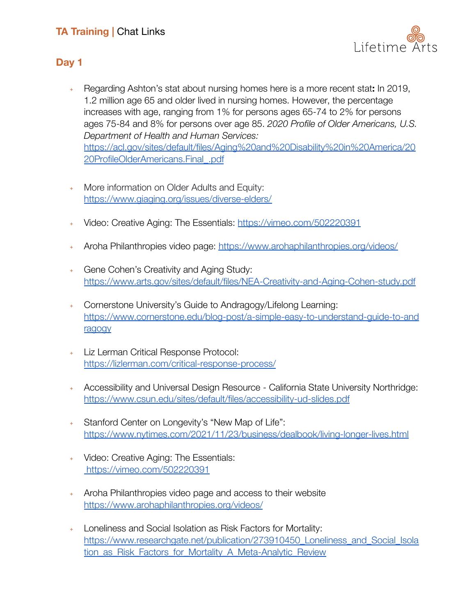

## **Day 1**

- ﹢ Regarding Ashton's stat about nursing homes here is a more recent stat**:** In 2019, 1.2 million age 65 and older lived in nursing homes. However, the percentage increases with age, ranging from 1% for persons ages 65-74 to 2% for persons ages 75-84 and 8% for persons over age 85. *2020 Profile of Older Americans, U.S. Department of Health and Human Services:* [https://acl.gov/sites/default/files/Aging%20and%20Disability%20in%20America/20](https://acl.gov/sites/default/files/Aging%20and%20Disability%20in%20America/2020ProfileOlderAmericans.Final_.pdf) [20ProfileOlderAmericans.Final\\_.pdf](https://acl.gov/sites/default/files/Aging%20and%20Disability%20in%20America/2020ProfileOlderAmericans.Final_.pdf)
- ﹢ More information on Older Adults and Equity: <https://www.giaging.org/issues/diverse-elders/>
- ﹢ Video: Creative Aging: The Essentials: <https://vimeo.com/502220391>
- ﹢ Aroha Philanthropies video page: <https://www.arohaphilanthropies.org/videos/>
- ﹢ Gene Cohen's Creativity and Aging Study: <https://www.arts.gov/sites/default/files/NEA-Creativity-and-Aging-Cohen-study.pdf>
- ﹢ Cornerstone University's Guide to Andragogy/Lifelong Learning: [https://www.cornerstone.edu/blog-post/a-simple-easy-to-understand-guide-to-and](https://www.cornerstone.edu/blog-post/a-simple-easy-to-understand-guide-to-andragogy) [ragogy](https://www.cornerstone.edu/blog-post/a-simple-easy-to-understand-guide-to-andragogy)
- ﹢ Liz Lerman Critical Response Protocol: <https://lizlerman.com/critical-response-process/>
- ﹢ Accessibility and Universal Design Resource California State University Northridge[:](https://www.csun.edu/sites/default/files/accessibility-ud-slides.pdf) <https://www.csun.edu/sites/default/files/accessibility-ud-slides.pdf>
- Stanford Center on Longevity's "New Map of Life": <https://www.nytimes.com/2021/11/23/business/dealbook/living-longer-lives.html>
- ﹢ Video: Creative Aging: The Essentials: <https://vimeo.com/502220391>
- ﹢ Aroha Philanthropies video page and access to their website <https://www.arohaphilanthropies.org/videos/>
- Loneliness and Social Isolation as Risk Factors for Mortality: [https://www.researchgate.net/publication/273910450\\_Loneliness\\_and\\_Social\\_Isola](https://www.researchgate.net/publication/273910450_Loneliness_and_Social_Isolation_as_Risk_Factors_for_Mortality_A_Meta-Analytic_Review) tion as Risk Factors for Mortality A Meta-Analytic Review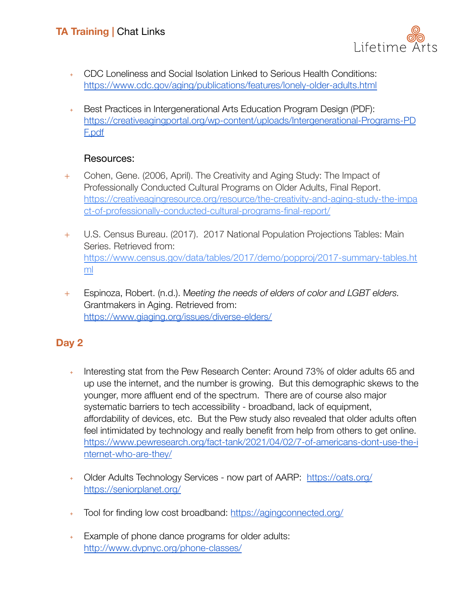

- ﹢ CDC Loneliness and Social Isolation Linked to Serious Health Conditions: <https://www.cdc.gov/aging/publications/features/lonely-older-adults.html>
- ﹢ Best Practices in Intergenerational Arts Education Program Design (PDF): [https://creativeagingportal.org/wp-content/uploads/Intergenerational-Programs-PD](https://creativeagingportal.org/wp-content/uploads/Intergenerational-Programs-PDF.pdf) [F.pdf](https://creativeagingportal.org/wp-content/uploads/Intergenerational-Programs-PDF.pdf)

#### Resources:

- + Cohen, Gene. (2006, April). The Creativity and Aging Study: The Impact of Professionally Conducted Cultural Programs on Older Adults, Final Report. [https://creativeagingresource.org/resource/the-creativity-and-aging-study-the-impa](https://creativeagingresource.org/resource/the-creativity-and-aging-study-the-impact-of-professionally-conducted-cultural-programs-final-report/) [ct-of-professionally-conducted-cultural-programs-final-report/](https://creativeagingresource.org/resource/the-creativity-and-aging-study-the-impact-of-professionally-conducted-cultural-programs-final-report/)
- + U.S. Census Bureau. (2017). 2017 National Population Projections Tables: Main Series. Retrieved from: [https://www.census.gov/data/tables/2017/demo/popproj/2017-summary-tables.ht](https://www.census.gov/data/tables/2017/demo/popproj/2017-summary-tables.html) [ml](https://www.census.gov/data/tables/2017/demo/popproj/2017-summary-tables.html)
- + Espinoza, Robert. (n.d.). M*eeting the needs of elders of color and LGBT elders.* Grantmakers in Aging. Retrieved from: <https://www.giaging.org/issues/diverse-elders/>

## **Day 2**

- Interesting stat from the Pew Research Center: Around 73% of older adults 65 and up use the internet, and the number is growing. But this demographic skews to the younger, more affluent end of the spectrum. There are of course also major systematic barriers to tech accessibility - broadband, lack of equipment, affordability of devices, etc. But the Pew study also revealed that older adults often feel intimidated by technology and really benefit from help from others to get online. [https://www.pewresearch.org/fact-tank/2021/04/02/7-of-americans-dont-use-the-i](https://www.pewresearch.org/fact-tank/2021/04/02/7-of-americans-dont-use-the-internet-who-are-they/) [nternet-who-are-they/](https://www.pewresearch.org/fact-tank/2021/04/02/7-of-americans-dont-use-the-internet-who-are-they/)
- ﹢ Older Adults Technology Services now part of AARP: <https://oats.org/> [https://seniorplanet.org/](https://oats.org/)
- + Tool for finding low cost broadband: <https://agingconnected.org/>
- ﹢ Example of phone dance programs for older adults: <http://www.dvpnyc.org/phone-classes/>